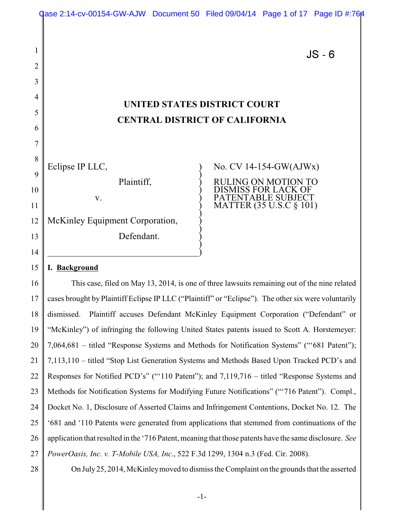|                                                                                              | $JS - 6$                |  |  |  |
|----------------------------------------------------------------------------------------------|-------------------------|--|--|--|
|                                                                                              |                         |  |  |  |
|                                                                                              |                         |  |  |  |
|                                                                                              |                         |  |  |  |
| <b>UNITED STATES DISTRICT COURT</b><br><b>CENTRAL DISTRICT OF CALIFORNIA</b>                 |                         |  |  |  |
|                                                                                              |                         |  |  |  |
|                                                                                              |                         |  |  |  |
| Eclipse IP LLC,                                                                              | No. CV 14-154-GW(AJWx)  |  |  |  |
| Plaintiff,                                                                                   | RULING ON MOTION TO     |  |  |  |
| V.                                                                                           | TABLE SUBJ<br>TEN       |  |  |  |
|                                                                                              | MATTER (35 U.S.C § 101) |  |  |  |
| McKinley Equipment Corporation,                                                              |                         |  |  |  |
| Defendant.                                                                                   |                         |  |  |  |
|                                                                                              |                         |  |  |  |
| I. Background<br>15                                                                          |                         |  |  |  |
| This case, filed on May 13, 2014, is one of three lawsuits remaining out of the nine related |                         |  |  |  |

Qase 2:14-cv-00154-GW-AJW Document 50 Filed 09/04/14 Page 1 of 17 Page ID #:764

17 18 19 20 21 22 23 24 25 26 27 cases brought by Plaintiff Eclipse IP LLC ("Plaintiff" or "Eclipse"). The other six were voluntarily dismissed. Plaintiff accuses Defendant McKinley Equipment Corporation ("Defendant" or "McKinley") of infringing the following United States patents issued to Scott A. Horstemeyer: 7,064,681 – titled "Response Systems and Methods for Notification Systems" ("'681 Patent"); 7,113,110 – titled "Stop List Generation Systems and Methods Based Upon Tracked PCD's and Responses for Notified PCD's" ("'110 Patent"); and 7,119,716 – titled "Response Systems and Methods for Notification Systems for Modifying Future Notifications" ("'716 Patent"). Compl., Docket No. 1, Disclosure of Asserted Claims and Infringement Contentions, Docket No. 12. The '681 and '110 Patents were generated from applications that stemmed from continuations of the application that resulted in the '716 Patent, meaning that those patents have the same disclosure. *See PowerOasis, Inc. v. T-Mobile USA, Inc.*, 522 F.3d 1299, 1304 n.3 (Fed. Cir. 2008).

28

On July25, 2014, McKinleymoved to dismiss the Complaint on the grounds that the asserted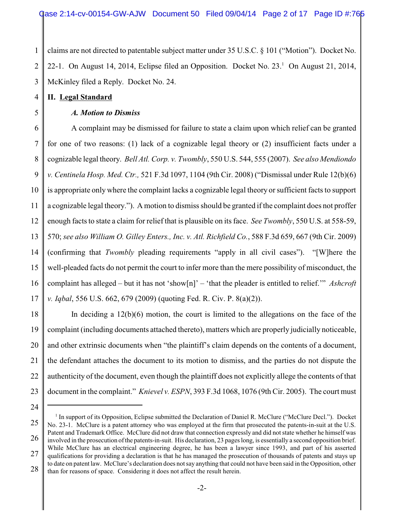1 2 3 claims are not directed to patentable subject matter under 35 U.S.C. § 101 ("Motion"). Docket No. 22-1. On August 14, 2014, Eclipse filed an Opposition. Docket No.  $23<sup>1</sup>$  On August 21, 2014, McKinley filed a Reply. Docket No. 24.

#### 4 **II. Legal Standard**

#### 5

# *A. Motion to Dismiss*

6 7 8 9 10 11 12 13 14 15 16 17 A complaint may be dismissed for failure to state a claim upon which relief can be granted for one of two reasons: (1) lack of a cognizable legal theory or (2) insufficient facts under a cognizable legal theory. *Bell Atl. Corp. v. Twombly*, 550 U.S. 544, 555 (2007). *See also Mendiondo v. Centinela Hosp. Med. Ctr.,* 521 F.3d 1097, 1104 (9th Cir. 2008) ("Dismissal under Rule 12(b)(6) is appropriate only where the complaint lacks a cognizable legal theory or sufficient facts to support a cognizable legal theory."). A motion to dismiss should be granted if the complaint does not proffer enough facts to state a claim for relief that is plausible on its face. *See Twombly*, 550 U.S. at 558-59, 570; *see also William O. Gilley Enters., Inc. v. Atl. Richfield Co.*, 588 F.3d 659, 667 (9th Cir. 2009) (confirming that *Twombly* pleading requirements "apply in all civil cases"). "[W]here the well-pleaded facts do not permit the court to infer more than the mere possibility of misconduct, the complaint has alleged – but it has not 'show[n]' – 'that the pleader is entitled to relief.'" *Ashcroft v. Iqbal*, 556 U.S. 662, 679 (2009) (quoting Fed. R. Civ. P. 8(a)(2)).

18 19 20 21 22 23 In deciding a 12(b)(6) motion, the court is limited to the allegations on the face of the complaint (including documents attached thereto), matters which are properly judicially noticeable, and other extrinsic documents when "the plaintiff's claim depends on the contents of a document, the defendant attaches the document to its motion to dismiss, and the parties do not dispute the authenticity of the document, even though the plaintiff does not explicitly allege the contents of that document in the complaint." *Knievel v. ESPN*, 393 F.3d 1068, 1076 (9th Cir. 2005). The court must

<sup>25</sup> 26 27 28 <sup>1</sup> In support of its Opposition, Eclipse submitted the Declaration of Daniel R. McClure ("McClure Decl."). Docket No. 23-1. McClure is a patent attorney who was employed at the firm that prosecuted the patents-in-suit at the U.S. Patent and Trademark Office. McClure did not draw that connection expressly and did not state whether he himself was involved in the prosecution ofthe patents-in-suit. His declaration, 23 pages long, is essentially a second opposition brief. While McClure has an electrical engineering degree, he has been a lawyer since 1993, and part of his asserted qualifications for providing a declaration is that he has managed the prosecution of thousands of patents and stays up to date on patent law. McClure's declaration does not say anything that could not have been said in the Opposition, other than for reasons of space. Considering it does not affect the result herein.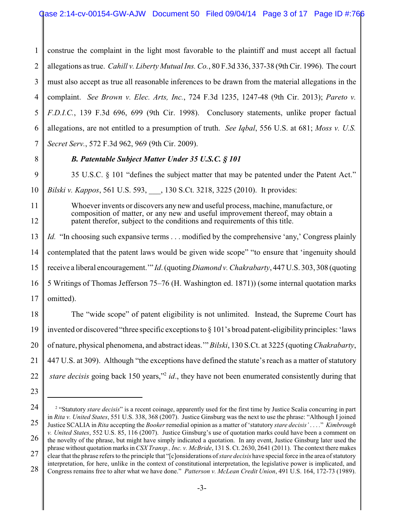1 2 3 4 5 6 7 construe the complaint in the light most favorable to the plaintiff and must accept all factual allegations as true. *Cahill v. Liberty Mutual Ins. Co.*, 80 F.3d 336, 337-38 (9th Cir. 1996). The court must also accept as true all reasonable inferences to be drawn from the material allegations in the complaint. *See Brown v. Elec. Arts, Inc.*, 724 F.3d 1235, 1247-48 (9th Cir. 2013); *Pareto v. F.D.I.C.*, 139 F.3d 696, 699 (9th Cir. 1998). Conclusory statements, unlike proper factual allegations, are not entitled to a presumption of truth. *See Iqbal*, 556 U.S. at 681; *Moss v. U.S. Secret Serv.*, 572 F.3d 962, 969 (9th Cir. 2009).

8

## *B. Patentable Subject Matter Under 35 U.S.C. § 101*

9 10 35 U.S.C. § 101 "defines the subject matter that may be patented under the Patent Act." *Bilski v. Kappos*, 561 U.S. 593, \_\_\_, 130 S.Ct. 3218, 3225 (2010). It provides:

11

12

Whoever invents or discovers any new and useful process, machine, manufacture, or composition of matter, or any new and useful improvement thereof, may obtain a patent therefor, subject to the conditions and requirements of this title.

13 14 15 16 17 *Id.* "In choosing such expansive terms . . . modified by the comprehensive 'any,' Congress plainly contemplated that the patent laws would be given wide scope" "to ensure that 'ingenuity should receive a liberal encouragement.'" *Id*. (quoting*Diamond v. Chakrabarty*, 447 U.S. 303, 308 (quoting 5 Writings of Thomas Jefferson 75–76 (H. Washington ed. 1871)) (some internal quotation marks omitted).

18 19 20 21 22 The "wide scope" of patent eligibility is not unlimited. Instead, the Supreme Court has invented or discovered "three specific exceptions to § 101's broad patent-eligibilityprinciples: 'laws of nature, physical phenomena, and abstract ideas.'" *Bilski*, 130 S.Ct. at 3225 (quoting*Chakrabarty*, 447 U.S. at 309). Although "the exceptions have defined the statute's reach as a matter of statutory *stare decisis* going back 150 years,"<sup>2</sup> *id*., they have not been enumerated consistently during that

- 23
- 

28 interpretation, for here, unlike in the context of constitutional interpretation, the legislative power is implicated, and Congress remains free to alter what we have done." *Patterson v. McLean Credit Union*, 491 U.S. 164, 172-73 (1989).

<sup>24</sup> 25 <sup>2</sup> "Statutory *stare decisis*" is a recent coinage, apparently used for the first time by Justice Scalia concurring in part in *Rita v. United States*, 551 U.S. 338, 368 (2007). Justice Ginsburg was the next to use the phrase: "Although I joined Justice SCALIA in *Rita* accepting the *Booker* remedial opinion as a matter of 'statutory *stare decisis'* . . . *.*" *Kimbrough*

<sup>26</sup> 27 *v. United States*, 552 U.S. 85, 116 (2007). Justice Ginsburg's use of quotation marks could have been a comment on the novelty of the phrase, but might have simply indicated a quotation. In any event, Justice Ginsburg later used the phrase without quotation marks in*CSX Transp., Inc. v. McBride*, 131 S. Ct. 2630, 2641 (2011). The context there makes clear that the phrase refers to the principle that "[c]onsiderations of*stare decisis* have special force in the area ofstatutory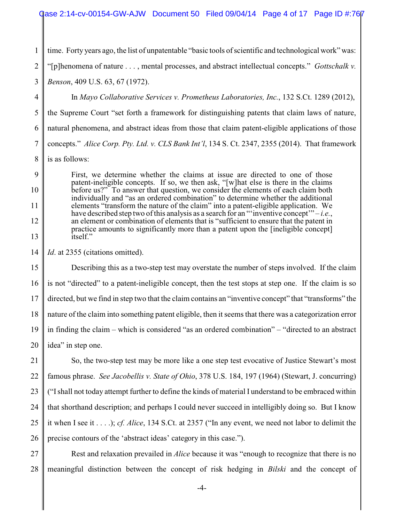1 time. Forty years ago, the list of unpatentable "basic tools of scientific and technological work" was:

2 "[p]henomena of nature . . . , mental processes, and abstract intellectual concepts." *Gottschalk v.*

3 *Benson*, 409 U.S. 63, 67 (1972).

4 5 6 7 8 In *Mayo Collaborative Services v. Prometheus Laboratories, Inc.*, 132 S.Ct. 1289 (2012), the Supreme Court "set forth a framework for distinguishing patents that claim laws of nature, natural phenomena, and abstract ideas from those that claim patent-eligible applications of those concepts." *Alice Corp. Pty. Ltd. v. CLS Bank Int'l*, 134 S. Ct. 2347, 2355 (2014). That framework is as follows:

9 10 11 12 13 First, we determine whether the claims at issue are directed to one of those patent-ineligible concepts. If so, we then ask, "[w]hat else is there in the claims before us?" To answer that question, we consider the elements of each claim both individually and "as an ordered combination" to determine whether the additional elements "transform the nature of the claim" into a patent-eligible application. We have described step two of this analysis as a search for an "'inventive concept'" – *i.e.*, an element or combination of elements that is "sufficient to ensure that the patent in practice amounts to significantly more than a patent upon the [ineligible concept] itself."

14 *Id*. at 2355 (citations omitted).

15 16 17 18 19 20 Describing this as a two-step test may overstate the number of steps involved. If the claim is not "directed" to a patent-ineligible concept, then the test stops at step one. If the claim is so directed, but we find in step two that the claim contains an "inventive concept" that "transforms" the nature of the claim into something patent eligible, then it seems that there was a categorization error in finding the claim – which is considered "as an ordered combination" – "directed to an abstract idea" in step one.

21 22 23 24 25 26 So, the two-step test may be more like a one step test evocative of Justice Stewart's most famous phrase. *See Jacobellis v. State of Ohio*, 378 U.S. 184, 197 (1964) (Stewart, J. concurring) ("Ishall not today attempt further to define the kinds of material I understand to be embraced within that shorthand description; and perhaps I could never succeed in intelligibly doing so. But I know it when I see it . . . .); *cf. Alice*, 134 S.Ct. at 2357 ("In any event, we need not labor to delimit the precise contours of the 'abstract ideas' category in this case.").

27 28 Rest and relaxation prevailed in *Alice* because it was "enough to recognize that there is no meaningful distinction between the concept of risk hedging in *Bilski* and the concept of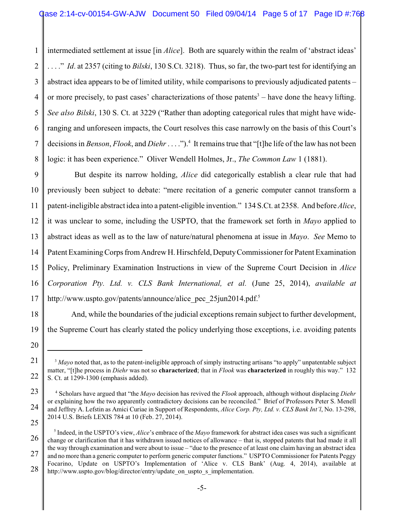1 2 3 4 5 6 7 8 intermediated settlement at issue [in *Alice*]. Both are squarely within the realm of 'abstract ideas' . . . ." *Id*. at 2357 (citing to *Bilski*, 130 S.Ct. 3218). Thus, so far, the two-part test for identifying an abstract idea appears to be of limited utility, while comparisons to previously adjudicated patents – or more precisely, to past cases' characterizations of those patents $3$  – have done the heavy lifting. *See also Bilski*, 130 S. Ct. at 3229 ("Rather than adopting categorical rules that might have wideranging and unforeseen impacts, the Court resolves this case narrowly on the basis of this Court's decisions in *Benson*, *Flook*, and *Diehr*. . . .").<sup>4</sup> It remains true that "[t]he life of the law has not been logic: it has been experience." Oliver Wendell Holmes, Jr., *The Common Law* 1 (1881).

9 10 11 12 13 14 15 16 17 But despite its narrow holding, *Alice* did categorically establish a clear rule that had previously been subject to debate: "mere recitation of a generic computer cannot transform a patent-ineligible abstract idea into a patent-eligible invention." 134 S.Ct. at 2358. And before *Alice*, it was unclear to some, including the USPTO, that the framework set forth in *Mayo* applied to abstract ideas as well as to the law of nature/natural phenomena at issue in *Mayo*. *See* Memo to Patent ExaminingCorps from Andrew H. Hirschfeld, DeputyCommissioner for Patent Examination Policy, Preliminary Examination Instructions in view of the Supreme Court Decision in *Alice Corporation Pty. Ltd. v. CLS Bank International, et al.* (June 25, 2014), *available at* http://www.uspto.gov/patents/announce/alice\_pec\_25jun2014.pdf.<sup>5</sup>

18 19 And, while the boundaries of the judicial exceptions remain subject to further development, the Supreme Court has clearly stated the policy underlying those exceptions, i.e. avoiding patents

<sup>21</sup> 22 <sup>3</sup> Mayo noted that, as to the patent-ineligible approach of simply instructing artisans "to apply" unpatentable subject matter, "[t]he process in *Diehr* was not so **characterized**; that in *Flook* was **characterized** in roughly this way." 132 S. Ct. at 1299-1300 (emphasis added).

<sup>23</sup> 24 25 <sup>4</sup> Scholars have argued that "the *Mayo* decision has revived the *Flook* approach, although without displacing *Diehr* or explaining how the two apparently contradictory decisions can be reconciled." Brief of Professors Peter S. Menell and Jeffrey A. Lefstin as Amici Curiae in Support of Respondents, *Alice Corp. Pty, Ltd. v. CLS Bank Int'l*, No. 13-298, 2014 U.S. Briefs LEXIS 784 at 10 (Feb. 27, 2014).

<sup>26</sup> 27 28 5 Indeed, in the USPTO's view, *Alice*'s embrace of the *Mayo* framework for abstract idea cases was such a significant change or clarification that it has withdrawn issued notices of allowance – that is, stopped patents that had made it all the way through examination and were about to issue – "due to the presence of at least one claim having an abstract idea and no more than a generic computer to perform generic computer functions." USPTO Commissioner for Patents Peggy Focarino, Update on USPTO's Implementation of 'Alice v. CLS Bank' (Aug. 4, 2014), available at http://www.uspto.gov/blog/director/entry/update\_on\_uspto\_s\_implementation.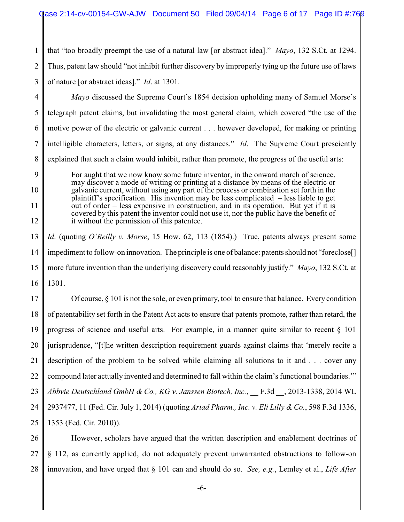1 2 3 that "too broadly preempt the use of a natural law [or abstract idea]." *Mayo*, 132 S.Ct. at 1294. Thus, patent law should "not inhibit further discovery by improperly tying up the future use of laws of nature [or abstract ideas]." *Id*. at 1301.

4

5 6 7 8 *Mayo* discussed the Supreme Court's 1854 decision upholding many of Samuel Morse's telegraph patent claims, but invalidating the most general claim, which covered "the use of the motive power of the electric or galvanic current . . . however developed, for making or printing intelligible characters, letters, or signs, at any distances." *Id*. The Supreme Court presciently explained that such a claim would inhibit, rather than promote, the progress of the useful arts:

9 10 11 12 For aught that we now know some future inventor, in the onward march of science, may discover a mode of writing or printing at a distance by means of the electric or galvanic current, without using any part of the process or combination set forth in the plaintiff's specification. His invention may be less complicated – less liable to get out of order – less expensive in construction, and in its operation. But yet if it is covered by this patent the inventor could not use it, nor the public have the benefit of it without the permission of this patentee.

13 14 15 16 *Id*. (quoting *O'Reilly v. Morse*, 15 How. 62, 113 (1854).) True, patents always present some impediment to follow-on innovation. The principle is one of balance: patents should not "foreclose[] more future invention than the underlying discovery could reasonably justify." *Mayo*, 132 S.Ct. at 1301.

17 18 19 20 21 22 23 24 25 Of course, § 101 is not the sole, or even primary, tool to ensure that balance. Every condition of patentability set forth in the Patent Act acts to ensure that patents promote, rather than retard, the progress of science and useful arts. For example, in a manner quite similar to recent § 101 jurisprudence, "[t]he written description requirement guards against claims that 'merely recite a description of the problem to be solved while claiming all solutions to it and . . . cover any compound later actually invented and determined to fall within the claim's functional boundaries.'" *Abbvie Deutschland GmbH & Co., KG v. Janssen Biotech, Inc.*, \_\_ F.3d \_\_, 2013-1338, 2014 WL 2937477, 11 (Fed. Cir. July 1, 2014) (quoting *Ariad Pharm., Inc. v. Eli Lilly & Co.*, 598 F.3d 1336, 1353 (Fed. Cir. 2010)).

26 27 28 However, scholars have argued that the written description and enablement doctrines of § 112, as currently applied, do not adequately prevent unwarranted obstructions to follow-on innovation, and have urged that § 101 can and should do so. *See, e.g.*, Lemley et al., *Life After*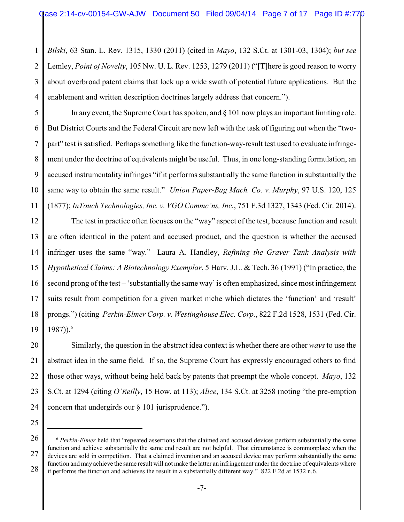1 2 3 4 *Bilski*, 63 Stan. L. Rev. 1315, 1330 (2011) (cited in *Mayo*, 132 S.Ct. at 1301-03, 1304); *but see* Lemley, *Point of Novelty*, 105 Nw. U. L. Rev. 1253, 1279 (2011) ("[T]here is good reason to worry about overbroad patent claims that lock up a wide swath of potential future applications. But the enablement and written description doctrines largely address that concern.").

5 6 7 8 9 10 11 In any event, the Supreme Court has spoken, and § 101 now plays an important limiting role. But District Courts and the Federal Circuit are now left with the task of figuring out when the "twopart" test is satisfied. Perhaps something like the function-way-result test used to evaluate infringement under the doctrine of equivalents might be useful. Thus, in one long-standing formulation, an accused instrumentality infringes "if it performs substantially the same function in substantially the same way to obtain the same result." *Union Paper-Bag Mach. Co. v. Murphy*, 97 U.S. 120, 125 (1877); *InTouch Technologies, Inc. v. VGO Commc'ns, Inc.*, 751 F.3d 1327, 1343 (Fed. Cir. 2014).

12 13 14 15 16 17 18 19 The test in practice often focuses on the "way" aspect of the test, because function and result are often identical in the patent and accused product, and the question is whether the accused infringer uses the same "way." Laura A. Handley, *Refining the Graver Tank Analysis with Hypothetical Claims: A Biotechnology Exemplar*, 5 Harv. J.L. & Tech. 36 (1991) ("In practice, the second prong of the test – 'substantially the same way' is often emphasized, since most infringement suits result from competition for a given market niche which dictates the 'function' and 'result' prongs.") (citing *Perkin-Elmer Corp. v. Westinghouse Elec. Corp.*, 822 F.2d 1528, 1531 (Fed. Cir. 1987)).<sup>6</sup>

20 21 22 23 24 Similarly, the question in the abstract idea context is whether there are other *ways* to use the abstract idea in the same field. If so, the Supreme Court has expressly encouraged others to find those other ways, without being held back by patents that preempt the whole concept. *Mayo*, 132 S.Ct. at 1294 (citing *O'Reilly*, 15 How. at 113); *Alice*, 134 S.Ct. at 3258 (noting "the pre-emption concern that undergirds our § 101 jurisprudence.").

<sup>26</sup> 27 28 <sup>6</sup> Perkin-Elmer held that "repeated assertions that the claimed and accused devices perform substantially the same function and achieve substantially the same end result are not helpful. That circumstance is commonplace when the devices are sold in competition. That a claimed invention and an accused device may perform substantially the same function and may achieve the same result will not make the latter an infringement under the doctrine of equivalents where it performs the function and achieves the result in a substantially different way." 822 F.2d at 1532 n.6.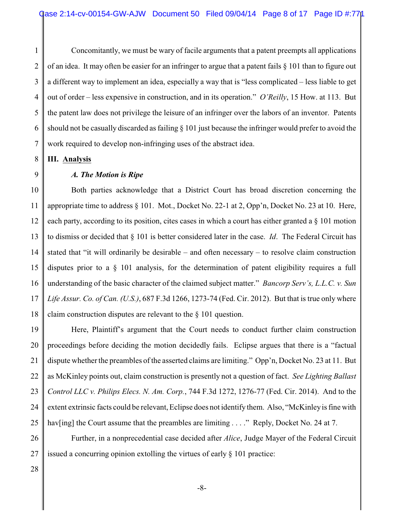1 2 3 4 5 6 7 Concomitantly, we must be wary of facile arguments that a patent preempts all applications of an idea. It may often be easier for an infringer to argue that a patent fails § 101 than to figure out a different way to implement an idea, especially a way that is "less complicated – less liable to get out of order – less expensive in construction, and in its operation." *O'Reilly*, 15 How. at 113. But the patent law does not privilege the leisure of an infringer over the labors of an inventor. Patents should not be casually discarded as failing § 101 just because the infringer would prefer to avoid the work required to develop non-infringing uses of the abstract idea.

8 **III. Analysis**

#### 9

#### *A. The Motion is Ripe*

10 11 12 13 14 15 16 17 18 Both parties acknowledge that a District Court has broad discretion concerning the appropriate time to address § 101. Mot., Docket No. 22-1 at 2, Opp'n, Docket No. 23 at 10. Here, each party, according to its position, cites cases in which a court has either granted a § 101 motion to dismiss or decided that § 101 is better considered later in the case. *Id*. The Federal Circuit has stated that "it will ordinarily be desirable – and often necessary – to resolve claim construction disputes prior to a § 101 analysis, for the determination of patent eligibility requires a full understanding of the basic character of the claimed subject matter." *Bancorp Serv's, L.L.C. v. Sun Life Assur. Co. of Can. (U.S.)*, 687 F.3d 1266, 1273-74 (Fed. Cir. 2012). But that is true only where claim construction disputes are relevant to the § 101 question.

19 20 21 22 23 24 25 Here, Plaintiff's argument that the Court needs to conduct further claim construction proceedings before deciding the motion decidedly fails. Eclipse argues that there is a "factual dispute whether the preambles of the asserted claims are limiting." Opp'n, Docket No. 23 at 11. But as McKinley points out, claim construction is presently not a question of fact. *See Lighting Ballast Control LLC v. Philips Elecs. N. Am. Corp.*, 744 F.3d 1272, 1276-77 (Fed. Cir. 2014). And to the extent extrinsic facts could be relevant, Eclipse does not identify them. Also, "McKinley is fine with haven fing the Court assume that the preambles are limiting  $\ldots$ ." Reply, Docket No. 24 at 7.

26 27 Further, in a nonprecedential case decided after *Alice*, Judge Mayer of the Federal Circuit issued a concurring opinion extolling the virtues of early  $\S$  101 practice: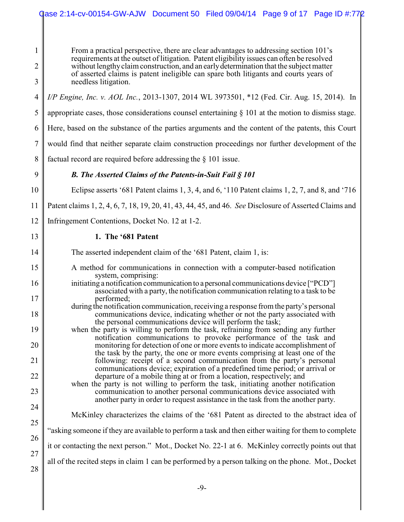1 2 3 4 5 6 7 8 9 10 11 12 13 14 15 16 17 18 19 20 21 22 23 24 25 26 27 28 From a practical perspective, there are clear advantages to addressing section 101's requirements at the outset of litigation. Patent eligibility issues can often be resolved without lengthyclaim construction, and an earlydetermination that the subject matter of asserted claims is patent ineligible can spare both litigants and courts years of needless litigation. *I/P Engine, Inc. v. AOL Inc.*, 2013-1307, 2014 WL 3973501, \*12 (Fed. Cir. Aug. 15, 2014). In appropriate cases, those considerations counsel entertaining § 101 at the motion to dismiss stage. Here, based on the substance of the parties arguments and the content of the patents, this Court would find that neither separate claim construction proceedings nor further development of the factual record are required before addressing the § 101 issue. *B. The Asserted Claims of the Patents-in-Suit Fail § 101* Eclipse asserts '681 Patent claims 1, 3, 4, and 6, '110 Patent claims 1, 2, 7, and 8, and '716 Patent claims 1, 2, 4, 6, 7, 18, 19, 20, 41, 43, 44, 45, and 46. *See* Disclosure of Asserted Claims and Infringement Contentions, Docket No. 12 at 1-2. **1. The '681 Patent** The asserted independent claim of the '681 Patent, claim 1, is: A method for communications in connection with a computer-based notification system, comprising: initiating a notification communication to a personal communications device ["PCD"] associated with a party, the notification communication relating to a task to be performed; during the notification communication, receiving a response from the party's personal communications device, indicating whether or not the party associated with the personal communications device will perform the task; when the party is willing to perform the task, refraining from sending any further notification communications to provoke performance of the task and monitoring for detection of one or more events to indicate accomplishment of the task by the party, the one or more events comprising at least one of the following: receipt of a second communication from the party's personal communications device; expiration of a predefined time period; or arrival or departure of a mobile thing at or from a location, respectively; and when the party is not willing to perform the task, initiating another notification communication to another personal communications device associated with another party in order to request assistance in the task from the another party. McKinley characterizes the claims of the '681 Patent as directed to the abstract idea of "asking someone if they are available to perform a task and then either waiting for them to complete it or contacting the next person." Mot., Docket No. 22-1 at 6. McKinley correctly points out that all of the recited steps in claim 1 can be performed by a person talking on the phone. Mot., Docket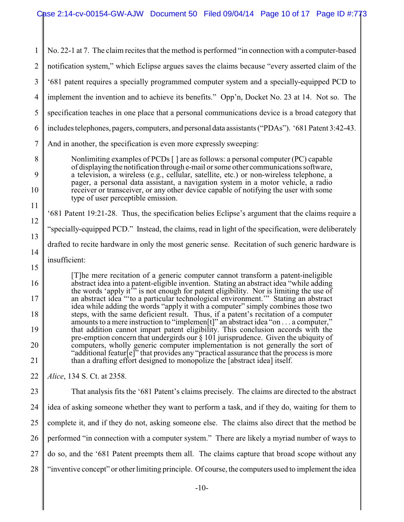1 2 3 4 5 6 7 8 9 10 11 12 13 14 15 16 17 18 19 20 21 22 23 24 25 26 No. 22-1 at 7. The claim recites that the method is performed "in connection with a computer-based notification system," which Eclipse argues saves the claims because "every asserted claim of the '681 patent requires a specially programmed computer system and a specially-equipped PCD to implement the invention and to achieve its benefits." Opp'n, Docket No. 23 at 14. Not so. The specification teaches in one place that a personal communications device is a broad category that includes telephones, pagers, computers, and personal data assistants ("PDAs"). '681 Patent 3:42-43. And in another, the specification is even more expressly sweeping: Nonlimiting examples of PCDs [ ] are as follows: a personal computer (PC) capable of displaying the notification through e-mail or some other communications software, a television, a wireless (e.g., cellular, satellite, etc.) or non-wireless telephone, a pager, a personal data assistant, a navigation system in a motor vehicle, a radio receiver or transceiver, or any other device capable of notifying the user with some type of user perceptible emission. '681 Patent 19:21-28. Thus, the specification belies Eclipse's argument that the claims require a "specially-equipped PCD." Instead, the claims, read in light of the specification, were deliberately drafted to recite hardware in only the most generic sense. Recitation of such generic hardware is insufficient: [T]he mere recitation of a generic computer cannot transform a patent-ineligible abstract idea into a patent-eligible invention. Stating an abstract idea "while adding the words 'apply it'" is not enough for patent eligibility. Nor is limiting the use of an abstract idea "'to a particular technological environment.'" Stating an abstract idea while adding the words "apply it with a computer" simply combines those two steps, with the same deficient result. Thus, if a patent's recitation of a computer amounts to a mere instruction to "implemen[t]" an abstract idea "on . . . a computer," that addition cannot impart patent eligibility. This conclusion accords with the pre-emption concern that undergirds our § 101 jurisprudence. Given the ubiquity of computers, wholly generic computer implementation is not generally the sort of "additional featur[e]" that provides any "practical assurance that the process is more than a drafting effort designed to monopolize the [abstract idea] itself. *Alice*, 134 S. Ct. at 2358. That analysis fits the '681 Patent's claims precisely. The claims are directed to the abstract idea of asking someone whether they want to perform a task, and if they do, waiting for them to complete it, and if they do not, asking someone else. The claims also direct that the method be performed "in connection with a computer system." There are likely a myriad number of ways to

27 do so, and the '681 Patent preempts them all. The claims capture that broad scope without any

28 "inventive concept" or other limiting principle. Of course, the computers used to implement the idea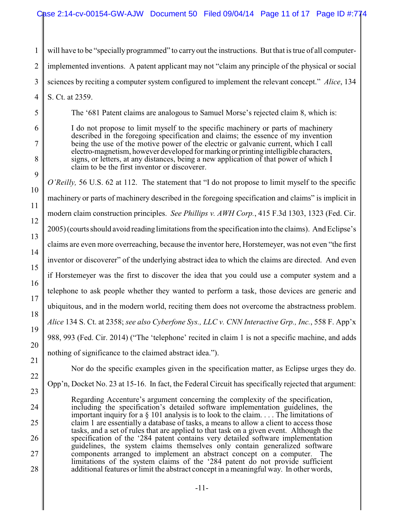1 2 3 will have to be "specially programmed" to carry out the instructions. But that is true of all computerimplemented inventions. A patent applicant may not "claim any principle of the physical or social sciences by reciting a computer system configured to implement the relevant concept." *Alice*, 134

4 S. Ct. at 2359.

5

6

7

8

9

10

11

12

13

14

15

16

17

18

19

20

22

23

24

25

26

27

28

The '681 Patent claims are analogous to Samuel Morse's rejected claim 8, which is:

I do not propose to limit myself to the specific machinery or parts of machinery described in the foregoing specification and claims; the essence of my invention being the use of the motive power of the electric or galvanic current, which I call electro-magnetism, however developed for marking or printing intelligible characters, signs, or letters, at any distances, being a new application of that power of which I claim to be the first inventor or discoverer.

*O'Reilly,* 56 U.S. 62 at 112. The statement that "I do not propose to limit myself to the specific machinery or parts of machinery described in the foregoing specification and claims" is implicit in modern claim construction principles. *See Phillips v. AWH Corp.*, 415 F.3d 1303, 1323 (Fed. Cir. 2005) (courts should avoid reading limitations from the specification into the claims). And Eclipse's claims are even more overreaching, because the inventor here, Horstemeyer, was not even "the first inventor or discoverer" of the underlying abstract idea to which the claims are directed. And even if Horstemeyer was the first to discover the idea that you could use a computer system and a telephone to ask people whether they wanted to perform a task, those devices are generic and ubiquitous, and in the modern world, reciting them does not overcome the abstractness problem. *Alice* 134 S. Ct. at 2358; *see also Cyberfone Sys., LLC v. CNN Interactive Grp., Inc.*, 558 F. App'x 988, 993 (Fed. Cir. 2014) ("The 'telephone' recited in claim 1 is not a specific machine, and adds nothing of significance to the claimed abstract idea.").

21

Nor do the specific examples given in the specification matter, as Eclipse urges they do. Opp'n, Docket No. 23 at 15-16. In fact, the Federal Circuit has specifically rejected that argument:

Regarding Accenture's argument concerning the complexity of the specification, including the specification's detailed software implementation guidelines, the important inquiry for a § 101 analysis is to look to the claim. . . . The limitations of claim 1 are essentially a database of tasks, a means to allow a client to access those tasks, and a set of rules that are applied to that task on a given event. Although the specification of the '284 patent contains very detailed software implementation guidelines, the system claims themselves only contain generalized software components arranged to implement an abstract concept on a computer. The limitations of the system claims of the '284 patent do not provide sufficient additional features or limit the abstract concept in a meaningful way. In other words,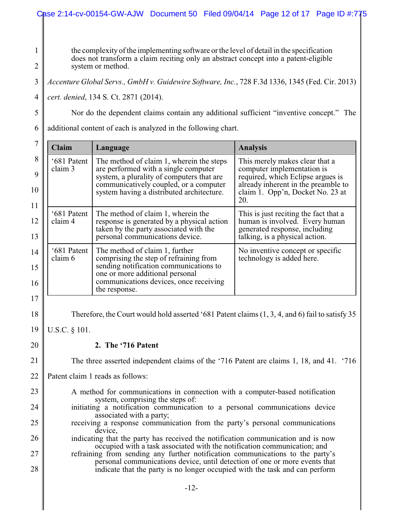### Case 2:14-cv-00154-GW-AJW Document 50 Filed 09/04/14 Page 12 of 17 Page ID #:775

1 2

5

the complexity of the implementing software or the level of detail in the specification does not transform a claim reciting only an abstract concept into a patent-eligible system or method.

3 *Accenture Global Servs., GmbH v. Guidewire Software, Inc.*, 728 F.3d 1336, 1345 (Fed. Cir. 2013)

4 *cert. denied*, 134 S. Ct. 2871 (2014).

Nor do the dependent claims contain any additional sufficient "inventive concept." The

6 additional content of each is analyzed in the following chart.

| <b>Claim</b><br>Language                                                                                                                                                                                                                                                                                                                                                                                                                  |                        |                                                                                                                                                                                                 | <b>Analysis</b>                                                                                                                                                                     |  |  |
|-------------------------------------------------------------------------------------------------------------------------------------------------------------------------------------------------------------------------------------------------------------------------------------------------------------------------------------------------------------------------------------------------------------------------------------------|------------------------|-------------------------------------------------------------------------------------------------------------------------------------------------------------------------------------------------|-------------------------------------------------------------------------------------------------------------------------------------------------------------------------------------|--|--|
| '681 Patent<br>The method of claim 1, wherein the steps<br>claim 3<br>are performed with a single computer<br>system, a plurality of computers that are<br>communicatively coupled, or a computer<br>system having a distributed architecture.<br>'681 Patent<br>The method of claim 1, wherein the<br>claim 4<br>response is generated by a physical action<br>taken by the party associated with the<br>personal communications device. |                        |                                                                                                                                                                                                 | This merely makes clear that a<br>computer implementation is<br>required, which Eclipse argues is<br>already inherent in the preamble to<br>claim 1. Opp'n, Docket No. 23 at<br>20. |  |  |
|                                                                                                                                                                                                                                                                                                                                                                                                                                           |                        |                                                                                                                                                                                                 | This is just reciting the fact that a<br>human is involved. Every human<br>generated response, including<br>talking, is a physical action.                                          |  |  |
|                                                                                                                                                                                                                                                                                                                                                                                                                                           | '681 Patent<br>claim 6 | The method of claim 1, further<br>comprising the step of refraining from<br>sending notification communications to<br>one or more additional personal<br>communications devices, once receiving | No inventive concept or specific<br>technology is added here.                                                                                                                       |  |  |
| the response.                                                                                                                                                                                                                                                                                                                                                                                                                             |                        |                                                                                                                                                                                                 |                                                                                                                                                                                     |  |  |
| Therefore, the Court would hold asserted '681 Patent claims (1, 3, 4, and 6) fail to satisfy 35                                                                                                                                                                                                                                                                                                                                           |                        |                                                                                                                                                                                                 |                                                                                                                                                                                     |  |  |
| U.S.C. § 101.                                                                                                                                                                                                                                                                                                                                                                                                                             |                        |                                                                                                                                                                                                 |                                                                                                                                                                                     |  |  |
| 2. The '716 Patent                                                                                                                                                                                                                                                                                                                                                                                                                        |                        |                                                                                                                                                                                                 |                                                                                                                                                                                     |  |  |
| The three asserted independent claims of the '716 Patent are claims 1, 18, and 41. '716                                                                                                                                                                                                                                                                                                                                                   |                        |                                                                                                                                                                                                 |                                                                                                                                                                                     |  |  |
| Patent claim 1 reads as follows:                                                                                                                                                                                                                                                                                                                                                                                                          |                        |                                                                                                                                                                                                 |                                                                                                                                                                                     |  |  |
| A method for communications in connection with a computer-based notification                                                                                                                                                                                                                                                                                                                                                              |                        |                                                                                                                                                                                                 |                                                                                                                                                                                     |  |  |
| system, comprising the steps of:<br>initiating a notification communication to a personal communications device                                                                                                                                                                                                                                                                                                                           |                        |                                                                                                                                                                                                 |                                                                                                                                                                                     |  |  |
| associated with a party;<br>receiving a response communication from the party's personal communications                                                                                                                                                                                                                                                                                                                                   |                        |                                                                                                                                                                                                 |                                                                                                                                                                                     |  |  |
| device.<br>indicating that the party has received the notification communication and is now                                                                                                                                                                                                                                                                                                                                               |                        |                                                                                                                                                                                                 |                                                                                                                                                                                     |  |  |
| occupied with a task associated with the notification communication; and<br>refraining from sending any further notification communications to the party's                                                                                                                                                                                                                                                                                |                        |                                                                                                                                                                                                 |                                                                                                                                                                                     |  |  |
| personal communications device, until detection of one or more events that<br>indicate that the party is no longer occupied with the task and can perform                                                                                                                                                                                                                                                                                 |                        |                                                                                                                                                                                                 |                                                                                                                                                                                     |  |  |
|                                                                                                                                                                                                                                                                                                                                                                                                                                           |                        |                                                                                                                                                                                                 |                                                                                                                                                                                     |  |  |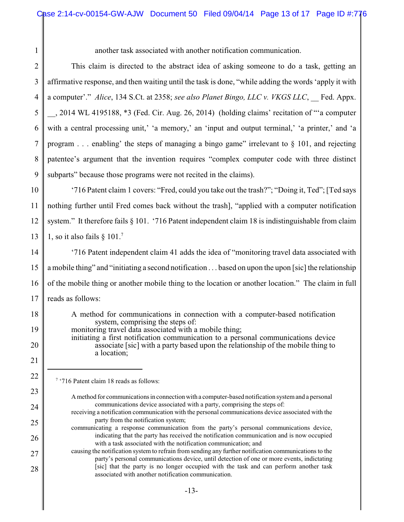| another task associated with another notification communication. |  |
|------------------------------------------------------------------|--|
|------------------------------------------------------------------|--|

2 3 4 5 6 7 8 9 This claim is directed to the abstract idea of asking someone to do a task, getting an affirmative response, and then waiting until the task is done, "while adding the words 'apply it with a computer'." *Alice*, 134 S.Ct. at 2358; *see also Planet Bingo, LLC v. VKGS LLC*, \_\_ Fed. Appx. \_\_, 2014 WL 4195188, \*3 (Fed. Cir. Aug. 26, 2014) (holding claims' recitation of "'a computer with a central processing unit,' 'a memory,' an 'input and output terminal,' 'a printer,' and 'a program  $\ldots$  enabling' the steps of managing a bingo game" irrelevant to § 101, and rejecting patentee's argument that the invention requires "complex computer code with three distinct subparts" because those programs were not recited in the claims).

10 11 12 13 '716 Patent claim 1 covers: "Fred, could you take out the trash?"; "Doing it, Ted"; [Ted says nothing further until Fred comes back without the trash], "applied with a computer notification system." It therefore fails § 101. '716 Patent independent claim 18 is indistinguishable from claim 1, so it also fails  $§ 101.<sup>7</sup>$ 

14 15 16 17 '716 Patent independent claim 41 adds the idea of "monitoring travel data associated with a mobile thing" and "initiating a second notification . . . based on upon the upon [sic] the relationship of the mobile thing or another mobile thing to the location or another location." The claim in full reads as follows:

18 19 20 21 22 A method for communications in connection with a computer-based notification system, comprising the steps of: monitoring travel data associated with a mobile thing; initiating a first notification communication to a personal communications device associate [sic] with a party based upon the relationship of the mobile thing to a location;

7 '716 Patent claim 18 reads as follows:

1

23

24

25

26

27

- Amethod for communications in connectionwith a computer-based notification systemand a personal communications device associated with a party, comprising the steps of:
- receiving a notification communication with the personal communications device associated with the party from the notification system;
- communicating a response communication from the party's personal communications device, indicating that the party has received the notification communication and is now occupied with a task associated with the notification communication; and
- causing the notification system to refrain from sending any further notification communications to the party's personal communications device, until detection of one or more events, indictating [sic] that the party is no longer occupied with the task and can perform another task associated with another notification communication.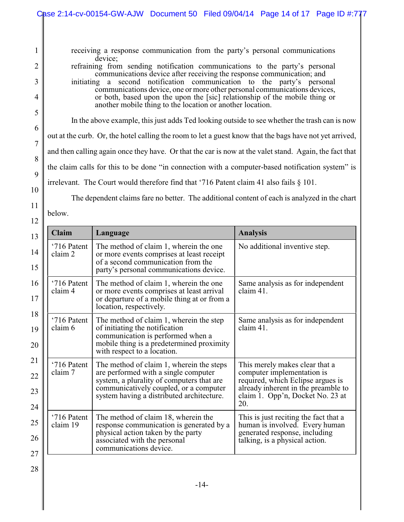receiving a response communication from the party's personal communications device: refraining from sending notification communications to the party's personal

communications device after receiving the response communication; and initiating a second notification communication to the party's personal communications device, one or more other personal communications devices, or both, based upon the upon the [sic] relationship of the mobile thing or another mobile thing to the location or another location.

In the above example, this just adds Ted looking outside to see whether the trash can is now

out at the curb. Or, the hotel calling the room to let a guest know that the bags have not yet arrived,

and then calling again once they have. Or that the car is now at the valet stand. Again, the fact that

the claim calls for this to be done "in connection with a computer-based notification system" is

irrelevant. The Court would therefore find that '716 Patent claim 41 also fails § 101.

The dependent claims fare no better. The additional content of each is analyzed in the chart

below.

| 13                   | <b>Claim</b>                                                                                                                                                                                                                                   | Language                                                                                                                                                                                   | <b>Analysis</b>                                                                                                                                                                     |
|----------------------|------------------------------------------------------------------------------------------------------------------------------------------------------------------------------------------------------------------------------------------------|--------------------------------------------------------------------------------------------------------------------------------------------------------------------------------------------|-------------------------------------------------------------------------------------------------------------------------------------------------------------------------------------|
| 14<br>15             | '716 Patent<br>claim 2                                                                                                                                                                                                                         | The method of claim 1, wherein the one<br>or more events comprises at least receipt<br>of a second communication from the<br>party's personal communications device.                       | No additional inventive step.                                                                                                                                                       |
| 16<br>17             | '716 Patent<br>claim 4                                                                                                                                                                                                                         | The method of claim 1, wherein the one<br>or more events comprises at least arrival<br>or departure of a mobile thing at or from a<br>location, respectively.                              | Same analysis as for independent<br>claim 41.                                                                                                                                       |
| 18<br>19<br>20       | '716 Patent<br>claim 6                                                                                                                                                                                                                         | The method of claim 1, wherein the step<br>of initiating the notification<br>communication is performed when a<br>mobile thing is a predetermined proximity<br>with respect to a location. | Same analysis as for independent<br>claim 41.                                                                                                                                       |
| 21<br>22<br>23<br>24 | '716 Patent<br>The method of claim 1, wherein the steps<br>are performed with a single computer<br>claim 7<br>system, a plurality of computers that are<br>communicatively coupled, or a computer<br>system having a distributed architecture. |                                                                                                                                                                                            | This merely makes clear that a<br>computer implementation is<br>required, which Eclipse argues is<br>already inherent in the preamble to<br>claim 1. Opp'n, Docket No. 23 at<br>20. |
| 25<br>26<br>27       | '716 Patent<br>claim 19                                                                                                                                                                                                                        | The method of claim 18, wherein the<br>response communication is generated by a<br>physical action taken by the party<br>associated with the personal<br>communications device.            | This is just reciting the fact that a<br>human is involved. Every human<br>generated response, including<br>talking, is a physical action.                                          |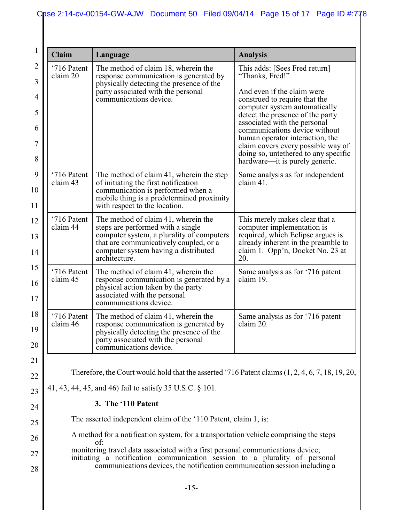| 1                 | Claim                                                                                                                                                                                                                          | Language                                                                                                                                                                                                                 | <b>Analysis</b>                                                                                                                                                                     |  |  |
|-------------------|--------------------------------------------------------------------------------------------------------------------------------------------------------------------------------------------------------------------------------|--------------------------------------------------------------------------------------------------------------------------------------------------------------------------------------------------------------------------|-------------------------------------------------------------------------------------------------------------------------------------------------------------------------------------|--|--|
| $\mathbf{2}$<br>3 | '716 Patent<br>claim 20                                                                                                                                                                                                        | The method of claim 18, wherein the<br>response communication is generated by<br>physically detecting the presence of the                                                                                                | This adds: [Sees Fred return]<br>"Thanks, Fred!"                                                                                                                                    |  |  |
| 4                 |                                                                                                                                                                                                                                | party associated with the personal<br>communications device.                                                                                                                                                             | And even if the claim were<br>construed to require that the                                                                                                                         |  |  |
| 5                 |                                                                                                                                                                                                                                |                                                                                                                                                                                                                          | computer system automatically<br>detect the presence of the party<br>associated with the personal                                                                                   |  |  |
| 6<br>7            |                                                                                                                                                                                                                                |                                                                                                                                                                                                                          | communications device without<br>human operator interaction, the<br>claim covers every possible way of                                                                              |  |  |
| 8                 |                                                                                                                                                                                                                                |                                                                                                                                                                                                                          | doing so, unterhered to any specific<br>hardware—it is purely generic.                                                                                                              |  |  |
| 9<br>10<br>11     | '716 Patent<br>claim 43                                                                                                                                                                                                        | The method of claim 41, wherein the step<br>of initiating the first notification<br>communication is performed when a<br>mobile thing is a predetermined proximity<br>with respect to the location.                      | Same analysis as for independent<br>claim 41.                                                                                                                                       |  |  |
| 12<br>13<br>14    | '716 Patent<br>claim 44                                                                                                                                                                                                        | The method of claim 41, wherein the<br>steps are performed with a single<br>computer system, a plurality of computers<br>that are communicatively coupled, or a<br>computer system having a distributed<br>architecture. | This merely makes clear that a<br>computer implementation is<br>required, which Eclipse argues is<br>already inherent in the preamble to<br>claim 1. Opp'n, Docket No. 23 at<br>20. |  |  |
| 15<br>16<br>17    | '716 Patent<br>claim 45                                                                                                                                                                                                        | The method of claim 41, wherein the<br>response communication is generated by a<br>physical action taken by the party<br>associated with the personal<br>communications device.                                          | Same analysis as for '716 patent<br>claim 19.                                                                                                                                       |  |  |
| 18<br>19<br>20    | '716 Patent<br>The method of claim 41, wherein the<br>claim 46<br>response communication is generated by<br>physically detecting the presence of the<br>party associated with the personal<br>communications device.           |                                                                                                                                                                                                                          | Same analysis as for '716 patent<br>claim 20.                                                                                                                                       |  |  |
| 21                |                                                                                                                                                                                                                                |                                                                                                                                                                                                                          |                                                                                                                                                                                     |  |  |
| 22                | Therefore, the Court would hold that the asserted '716 Patent claims $(1, 2, 4, 6, 7, 18, 19, 20, 19, 20, 19, 20, 19, 20, 19, 20, 19, 20, 19, 20, 19, 20, 19, 20, 19, 20, 19, 20, 19, 20, 19, 20, 19, 20, 19, 20, 19, 20, 19,$ |                                                                                                                                                                                                                          |                                                                                                                                                                                     |  |  |
| 23                | 41, 43, 44, 45, and 46) fail to satisfy 35 U.S.C. § 101.                                                                                                                                                                       |                                                                                                                                                                                                                          |                                                                                                                                                                                     |  |  |
| 24                | 3. The '110 Patent<br>The asserted independent claim of the '110 Patent, claim 1, is:                                                                                                                                          |                                                                                                                                                                                                                          |                                                                                                                                                                                     |  |  |
| 25                |                                                                                                                                                                                                                                | A method for a notification system, for a transportation vehicle comprising the steps                                                                                                                                    |                                                                                                                                                                                     |  |  |
| 26<br>27          | of:<br>monitoring travel data associated with a first personal communications device;                                                                                                                                          |                                                                                                                                                                                                                          |                                                                                                                                                                                     |  |  |
| 28                | initiating a notification communication session to a plurality of personal<br>communications devices, the notification communication session including a                                                                       |                                                                                                                                                                                                                          |                                                                                                                                                                                     |  |  |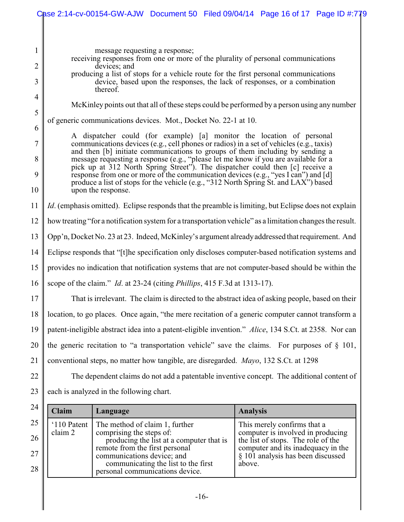|                          | Case 2:14-cv-00154-GW-AJW Document 50 Filed 09/04/14 Page 16 of 17 Page ID #:779                                                                                                                                                                                                                                                                                                                                                                                                                                                                                                                                              |                                                                                                                            |                                                                                                                    |  |                 |                                                                                                                                                                                   |  |
|--------------------------|-------------------------------------------------------------------------------------------------------------------------------------------------------------------------------------------------------------------------------------------------------------------------------------------------------------------------------------------------------------------------------------------------------------------------------------------------------------------------------------------------------------------------------------------------------------------------------------------------------------------------------|----------------------------------------------------------------------------------------------------------------------------|--------------------------------------------------------------------------------------------------------------------|--|-----------------|-----------------------------------------------------------------------------------------------------------------------------------------------------------------------------------|--|
|                          | message requesting a response;<br>receiving responses from one or more of the plurality of personal communications<br>devices; and<br>producing a list of stops for a vehicle route for the first personal communications<br>device, based upon the responses, the lack of responses, or a combination                                                                                                                                                                                                                                                                                                                        |                                                                                                                            |                                                                                                                    |  |                 |                                                                                                                                                                                   |  |
| 3<br>$\overline{4}$<br>5 |                                                                                                                                                                                                                                                                                                                                                                                                                                                                                                                                                                                                                               | thereof.                                                                                                                   |                                                                                                                    |  |                 | McKinley points out that all of these steps could be performed by a person using any number                                                                                       |  |
|                          |                                                                                                                                                                                                                                                                                                                                                                                                                                                                                                                                                                                                                               |                                                                                                                            | of generic communications devices. Mot., Docket No. 22-1 at 10.                                                    |  |                 |                                                                                                                                                                                   |  |
| 6<br>7<br>8<br>9<br>10   | A dispatcher could (for example) [a] monitor the location of personal<br>communications devices (e.g., cell phones or radios) in a set of vehicles (e.g., taxis)<br>and then [b] initiate communications to groups of them including by sending a<br>message requesting a response (e.g., "please let me know if you are available for a<br>pick up at 312 North Spring Street"). The dispatcher could then [c] receive a<br>response from one or more of the communication devices (e.g., "yes I can") and [d]<br>produce a list of stops for the vehicle (e.g., "312 North Spring St. and LAX") based<br>upon the response. |                                                                                                                            |                                                                                                                    |  |                 |                                                                                                                                                                                   |  |
| 11                       |                                                                                                                                                                                                                                                                                                                                                                                                                                                                                                                                                                                                                               |                                                                                                                            |                                                                                                                    |  |                 | <i>Id.</i> (emphasis omitted). Eclipse responds that the preamble is limiting, but Eclipse does not explain                                                                       |  |
| 12                       |                                                                                                                                                                                                                                                                                                                                                                                                                                                                                                                                                                                                                               |                                                                                                                            |                                                                                                                    |  |                 | how treating "for a notification system for a transportation vehicle" as a limitation changes the result.                                                                         |  |
| 13                       |                                                                                                                                                                                                                                                                                                                                                                                                                                                                                                                                                                                                                               |                                                                                                                            |                                                                                                                    |  |                 | Opp'n, Docket No. 23 at 23. Indeed, McKinley's argument already addressed that requirement. And                                                                                   |  |
| 14                       | Eclipse responds that "[t] he specification only discloses computer-based notification systems and                                                                                                                                                                                                                                                                                                                                                                                                                                                                                                                            |                                                                                                                            |                                                                                                                    |  |                 |                                                                                                                                                                                   |  |
| 15                       | provides no indication that notification systems that are not computer-based should be within the                                                                                                                                                                                                                                                                                                                                                                                                                                                                                                                             |                                                                                                                            |                                                                                                                    |  |                 |                                                                                                                                                                                   |  |
| 16                       | scope of the claim." <i>Id.</i> at 23-24 (citing <i>Phillips</i> , 415 F.3d at 1313-17).                                                                                                                                                                                                                                                                                                                                                                                                                                                                                                                                      |                                                                                                                            |                                                                                                                    |  |                 |                                                                                                                                                                                   |  |
| 17                       | That is irrelevant. The claim is directed to the abstract idea of asking people, based on their                                                                                                                                                                                                                                                                                                                                                                                                                                                                                                                               |                                                                                                                            |                                                                                                                    |  |                 |                                                                                                                                                                                   |  |
| 18                       | location, to go places. Once again, "the mere recitation of a generic computer cannot transform a                                                                                                                                                                                                                                                                                                                                                                                                                                                                                                                             |                                                                                                                            |                                                                                                                    |  |                 |                                                                                                                                                                                   |  |
| 19                       | patent-ineligible abstract idea into a patent-eligible invention." Alice, 134 S.Ct. at 2358. Nor can                                                                                                                                                                                                                                                                                                                                                                                                                                                                                                                          |                                                                                                                            |                                                                                                                    |  |                 |                                                                                                                                                                                   |  |
| 20                       | the generic recitation to "a transportation vehicle" save the claims. For purposes of $\S$ 101,                                                                                                                                                                                                                                                                                                                                                                                                                                                                                                                               |                                                                                                                            |                                                                                                                    |  |                 |                                                                                                                                                                                   |  |
| 21                       | conventional steps, no matter how tangible, are disregarded. Mayo, 132 S.Ct. at 1298                                                                                                                                                                                                                                                                                                                                                                                                                                                                                                                                          |                                                                                                                            |                                                                                                                    |  |                 |                                                                                                                                                                                   |  |
| 22                       | The dependent claims do not add a patentable inventive concept. The additional content of                                                                                                                                                                                                                                                                                                                                                                                                                                                                                                                                     |                                                                                                                            |                                                                                                                    |  |                 |                                                                                                                                                                                   |  |
| 23                       | each is analyzed in the following chart.                                                                                                                                                                                                                                                                                                                                                                                                                                                                                                                                                                                      |                                                                                                                            |                                                                                                                    |  |                 |                                                                                                                                                                                   |  |
| 24                       | Claim                                                                                                                                                                                                                                                                                                                                                                                                                                                                                                                                                                                                                         | Language                                                                                                                   |                                                                                                                    |  | <b>Analysis</b> |                                                                                                                                                                                   |  |
| 25<br>26<br>27<br>28     | '110 Patent<br>claim 2                                                                                                                                                                                                                                                                                                                                                                                                                                                                                                                                                                                                        | The method of claim 1, further<br>comprising the steps of:<br>remote from the first personal<br>communications device; and | producing the list at a computer that is<br>communicating the list to the first<br>personal communications device. |  | above.          | This merely confirms that a<br>computer is involved in producing<br>the list of stops. The role of the<br>computer and its inadequacy in the<br>§ 101 analysis has been discussed |  |